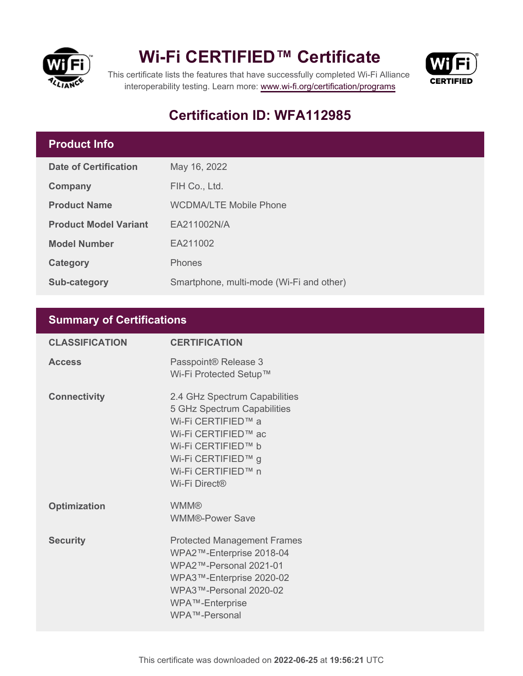



This certificate lists the features that have successfully completed Wi-Fi Alliance interoperability testing. Learn more:<www.wi-fi.org/certification/programs>

## **Certification ID: WFA112985**

## **Product Info**

| <b>Date of Certification</b> | May 16, 2022                             |  |
|------------------------------|------------------------------------------|--|
| Company                      | FIH Co., Ltd.                            |  |
| <b>Product Name</b>          | <b>WCDMA/LTE Mobile Phone</b>            |  |
| <b>Product Model Variant</b> | EA211002N/A                              |  |
| <b>Model Number</b>          | EA211002                                 |  |
| Category                     | <b>Phones</b>                            |  |
| <b>Sub-category</b>          | Smartphone, multi-mode (Wi-Fi and other) |  |

### **Summary of Certifications**

| <b>CLASSIFICATION</b> | <b>CERTIFICATION</b>                                                                                                                                                                         |
|-----------------------|----------------------------------------------------------------------------------------------------------------------------------------------------------------------------------------------|
| <b>Access</b>         | Passpoint® Release 3<br>Wi-Fi Protected Setup™                                                                                                                                               |
| <b>Connectivity</b>   | 2.4 GHz Spectrum Capabilities<br>5 GHz Spectrum Capabilities<br>Wi-Fi CERTIFIED™ a<br>Wi-Fi CERTIFIED™ ac<br>Wi-Fi CERTIFIED™ b<br>Wi-Fi CERTIFIED™ g<br>Wi-Fi CERTIFIED™ n<br>Wi-Fi Direct® |
| <b>Optimization</b>   | <b>WMM®</b><br><b>WMM®-Power Save</b>                                                                                                                                                        |
| <b>Security</b>       | <b>Protected Management Frames</b><br>WPA2™-Enterprise 2018-04<br>WPA2™-Personal 2021-01<br>WPA3™-Enterprise 2020-02<br>WPA3™-Personal 2020-02<br>WPA™-Enterprise<br>WPA™-Personal           |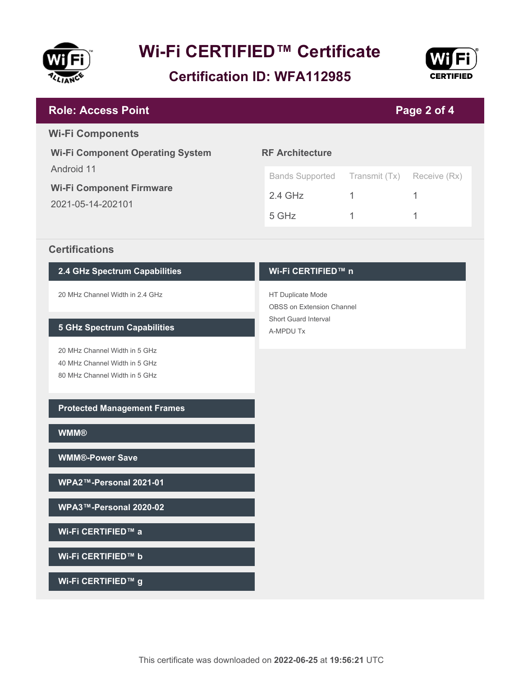

**Certification ID: WFA112985**



#### **RF Architecture** Bands Supported Transmit (Tx) Receive (Rx) 2.4 GHz 1 1 1 5 GHz 1 1 **Wi-Fi Component Operating System** Android 11 **Wi-Fi Component Firmware** 2021-05-14-202101 **Page 2 of 4 Role: Access Point Wi-Fi Components**

#### **Certifications**

#### **2.4 GHz Spectrum Capabilities**

20 MHz Channel Width in 2.4 GHz

#### **5 GHz Spectrum Capabilities**

20 MHz Channel Width in 5 GHz 40 MHz Channel Width in 5 GHz 80 MHz Channel Width in 5 GHz

#### **Protected Management Frames**

**WMM®**

**WMM®-Power Save**

**WPA2™-Personal 2021-01**

**WPA3™-Personal 2020-02**

**Wi-Fi CERTIFIED™ a**

**Wi-Fi CERTIFIED™ b**

**Wi-Fi CERTIFIED™ g**

#### **Wi-Fi CERTIFIED™ n**

HT Duplicate Mode OBSS on Extension Channel Short Guard Interval A-MPDU Tx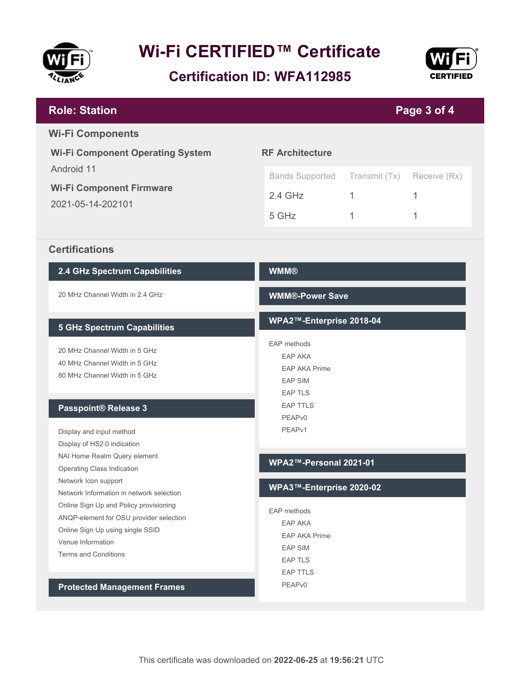

**Certification ID: WFA112985**



#### **WMM® WMM®-Power Save WPA2™-Enterprise 2018-04** EAP methods EAP AKA EAP AKA Prime EAP SIM EAP TLS EAP TTLS PEAPv0 PEAPv1 **WPA2™-Personal 2021-01 WPA3™-Enterprise 2020-02** EAP methods EAP AKA EAP AKA Prime EAP SIM EAP TLS EAP TTLS PEAPv0 **2.4 GHz Spectrum Capabilities** 20 MHz Channel Width in 2.4 GHz **5 GHz Spectrum Capabilities** 20 MHz Channel Width in 5 GHz 40 MHz Channel Width in 5 GHz 80 MHz Channel Width in 5 GHz **Passpoint® Release 3** Display and input method Display of HS2.0 indication NAI Home Realm Query element Operating Class Indication Network Icon support Network Information in network selection Online Sign Up and Policy provisioning ANQP-element for OSU provider selection Online Sign Up using single SSID Venue Information Terms and Conditions **Protected Management Frames RF Architecture** Bands Supported Transmit (Tx) Receive (Rx) 2.4 GHz 1 1 1 5 GHz 1 1 **Wi-Fi Component Operating System** Android 11 **Wi-Fi Component Firmware** 2021-05-14-202101 **Page 3 of 4 Role: Station Wi-Fi Components Certifications**